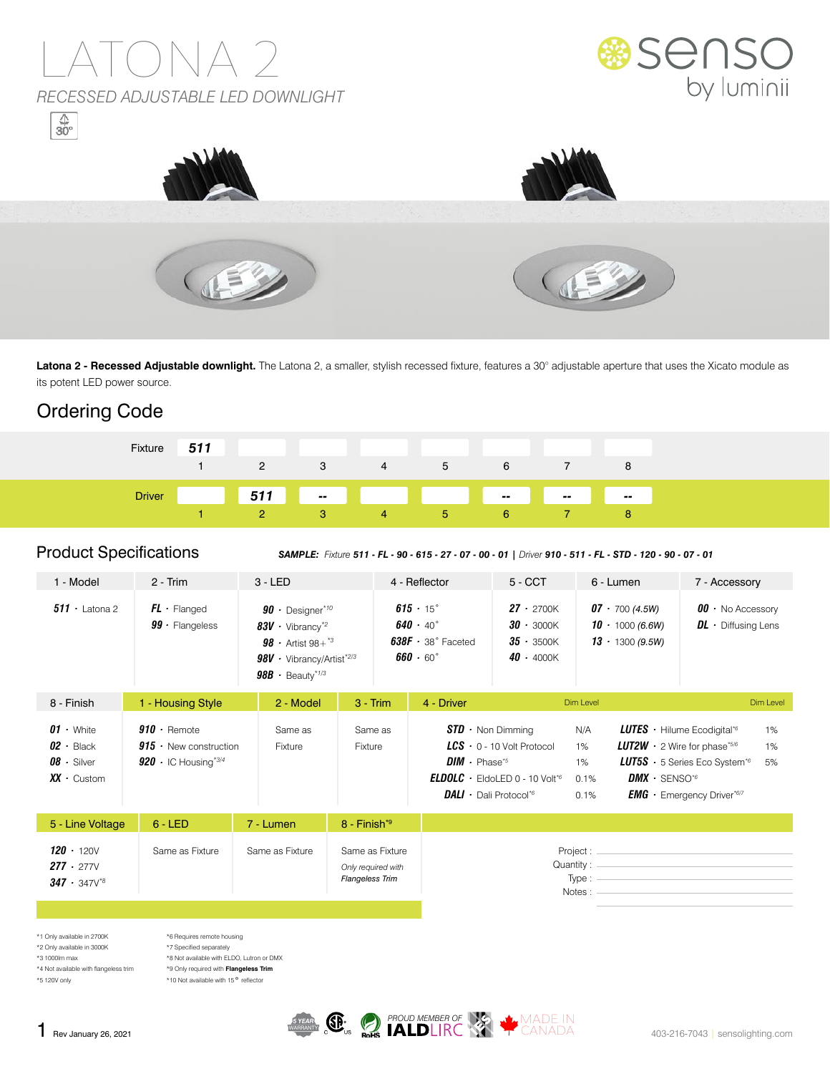

Latona 2 - Recessed Adjustable downlight. The Latona 2, a smaller, stylish recessed fixture, features a 30° adjustable aperture that uses the Xicato module as its potent LED power source.

### Ordering Code

| Fixture       | 511 |     | 3  | 4              | 5 | 6                                                                                                                                                                                                                                    |                              |                       |
|---------------|-----|-----|----|----------------|---|--------------------------------------------------------------------------------------------------------------------------------------------------------------------------------------------------------------------------------------|------------------------------|-----------------------|
|               |     |     |    |                |   |                                                                                                                                                                                                                                      |                              |                       |
| <b>Driver</b> |     | 511 | m. |                |   | <u>in the second contract of the second contract of the second contract of the second contract of the second contract of the second contract of the second contract of the second contract of the second contract of the second </u> | $\sim$ 100 $\sim$ 100 $\sim$ | $\sim$ $\sim$<br>a sa |
|               |     |     | 3  | $\overline{a}$ | ь | b                                                                                                                                                                                                                                    |                              |                       |

Product Specifications *SAMPLE: Fixture 511 - FL - 90 - 615 - 27 - 07 - 00 - 01 | Driver 910 - 511 - FL - STD - 120 - 90 - 07 - 01*

| 1 - Model                                                                  | $2 - Trim$                                                                                   |                                                                                                                                                                                        |                                                                 | 4 - Reflector                                                                                    | $5 - CCT$                                                                                                                                                                                             | 6 - Lumen |                                                                                                                                                                                                                                                             | 7 - Accessory                                                                                                                                                                                                                                                     |           |
|----------------------------------------------------------------------------|----------------------------------------------------------------------------------------------|----------------------------------------------------------------------------------------------------------------------------------------------------------------------------------------|-----------------------------------------------------------------|--------------------------------------------------------------------------------------------------|-------------------------------------------------------------------------------------------------------------------------------------------------------------------------------------------------------|-----------|-------------------------------------------------------------------------------------------------------------------------------------------------------------------------------------------------------------------------------------------------------------|-------------------------------------------------------------------------------------------------------------------------------------------------------------------------------------------------------------------------------------------------------------------|-----------|
| $511 \cdot$ Latona 2                                                       | $FL \cdot$ Flanged<br>$99 \cdot$ Flangeless                                                  | $90 \cdot$ Designer*10<br>$83V \cdot$ Vibrancy <sup>*2</sup><br><b>98</b> • Artist $98 + {}^{*3}$<br>$98V \cdot$ Vibrancy/Artist <sup>*2/3</sup><br>$98B \cdot$ Beauty <sup>*1/3</sup> |                                                                 | $615 \cdot 15$ °<br>$640 \cdot 40^{\circ}$<br>$638F \cdot 38°$ Faceted<br>$660 \cdot 60^{\circ}$ | $27 \cdot 2700K$<br>$30 \cdot 3000K$<br>$35 \cdot 3500K$<br>$40 \cdot 4000K$                                                                                                                          |           | $07 - 700(4.5W)$<br>$10 \cdot 1000(6.6W)$<br>$13 \cdot 1300(9.5W)$                                                                                                                                                                                          | $00 \cdot$ No Accessory<br>$DL \cdot$ Diffusing Lens                                                                                                                                                                                                              |           |
| 8 - Finish                                                                 | 1 - Housing Style                                                                            | 2 - Model                                                                                                                                                                              | $3 - Trim$                                                      | 4 - Driver                                                                                       | Dim Level                                                                                                                                                                                             |           |                                                                                                                                                                                                                                                             |                                                                                                                                                                                                                                                                   | Dim Level |
| $01 \cdot$ White<br>$02 -$ Black<br>$08 \cdot$ Silver<br>$XX \cdot$ Custom | $910 \cdot$ Remote<br>$915 \cdot$ New construction<br>920 $\cdot$ IC Housing <sup>*3/4</sup> | Same as<br>Fixture                                                                                                                                                                     | Same as<br>Fixture                                              |                                                                                                  | $STD \cdot$ Non Dimming<br>$LCS$ $\cdot$ 0 - 10 Volt Protocol<br>$DIM \cdot Phase^{*5}$<br><b>ELDOLC</b> $\cdot$ EldoLED 0 - 10 Volt <sup>*6</sup><br><b>DALI</b> $\cdot$ Dali Protocol <sup>*6</sup> |           | <b>LUTES</b> $\cdot$ Hilume Ecodigital <sup>*6</sup><br>1%<br><b>LUT2W</b> $\cdot$ 2 Wire for phase*5/6<br>1%<br><b>LUT5S</b> $\cdot$ 5 Series Eco System <sup>*6</sup><br>5%<br>$DMX \cdot$ SENSO <sup>*6</sup><br><b>EMG</b> $\cdot$ Emergency Driver*6/7 |                                                                                                                                                                                                                                                                   |           |
| 5 - Line Voltage                                                           | $6 - LED$                                                                                    | 7 - Lumen                                                                                                                                                                              | $8 - Finish*9$                                                  |                                                                                                  |                                                                                                                                                                                                       |           |                                                                                                                                                                                                                                                             |                                                                                                                                                                                                                                                                   |           |
| $120 \cdot 120V$<br>$277 \cdot 277V$<br>$347 \cdot 347\sqrt{8}$            | Same as Fixture                                                                              | Same as Fixture                                                                                                                                                                        | Same as Fixture<br>Only required with<br><b>Flangeless Trim</b> |                                                                                                  |                                                                                                                                                                                                       |           | Notes:                                                                                                                                                                                                                                                      | Quantity: Quantity: Quantity: Quantity: Quantity: Quantity: Quantity: Quantity: Quantity: Quantity: Quantity: Quantity: Quantity: Quantity: Quantity: Quantity: Quantity: Quantity: Quantity: Quantity: Quantity: Quantity: Qu<br>Type : $\overline{\phantom{a}}$ |           |
|                                                                            |                                                                                              |                                                                                                                                                                                        |                                                                 |                                                                                                  |                                                                                                                                                                                                       |           |                                                                                                                                                                                                                                                             |                                                                                                                                                                                                                                                                   |           |

\*1 Only available in 2700K \*2 Only available in 3000K \*3 1000lm max \*4 Not available with flangeless trim \*6 Requires remote housing \*7 Specified separately

\*5 120V only

\*8 Not available with ELDO, Lutron or DMX \*9 Only required with **Flangeless Trim** \*10 Not available with 15<sup>°</sup> reflector

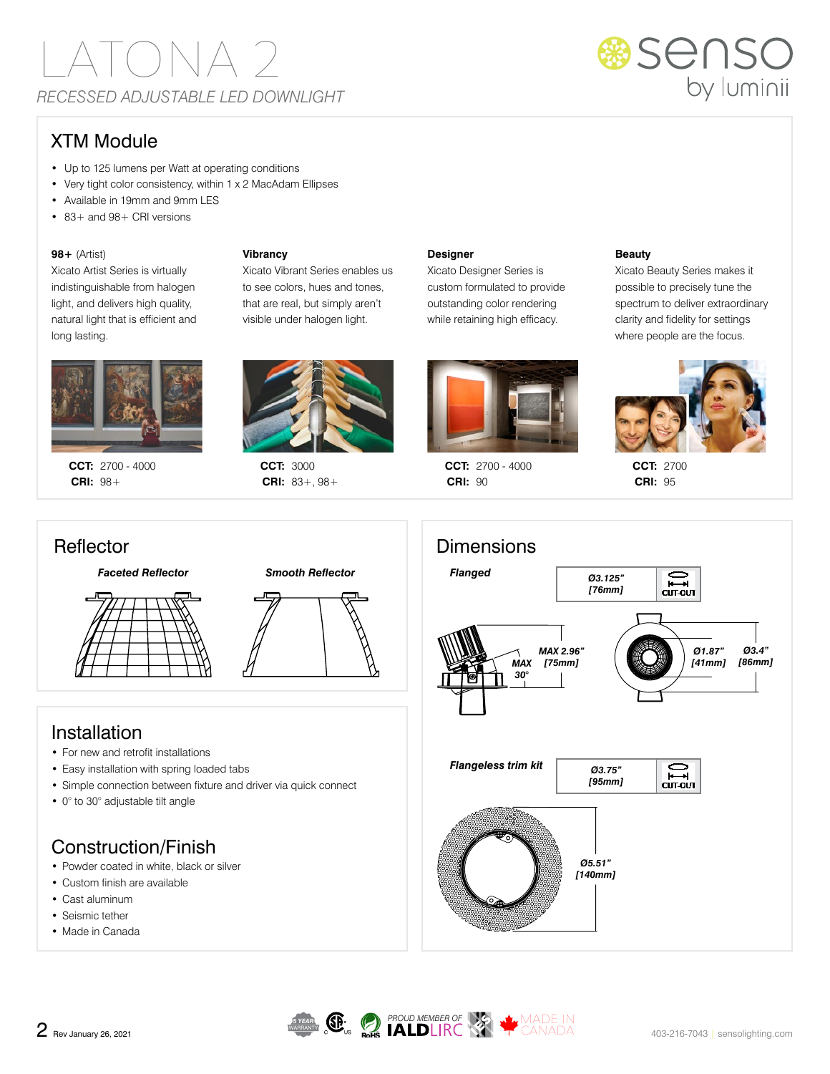

### XTM Module

- Up to 125 lumens per Watt at operating conditions
- Very tight color consistency, within 1 x 2 MacAdam Ellipses
- Available in 19mm and 9mm LES
- 83+ and 98+ CRI versions

### **98+** (Artist)

Xicato Artist Series is virtually indistinguishable from halogen light, and delivers high quality, natural light that is efficient and long lasting.



**CCT:** 2700 - 4000 **CRI:** 98+



Xicato Vibrant Series enables us to see colors, hues and tones, that are real, but simply aren't visible under halogen light.

**CCT:** 3000 **CRI:** 83+, 98+

**Vibrancy**

#### **Designer**

Xicato Designer Series is custom formulated to provide outstanding color rendering while retaining high efficacy.



**CCT:** 2700 - 4000 **CRI:** 90

#### **Beauty**

Xicato Beauty Series makes it possible to precisely tune the spectrum to deliver extraordinary clarity and fidelity for settings where people are the focus.



**CCT:** 2700 **CRI:** 95







### Installation

- For new and retrofit installations
- Easy installation with spring loaded tabs
- Simple connection between fixture and driver via quick connect
- 0° to 30° adjustable tilt angle

## Construction/Finish

- Powder coated in white, black or silver
- Custom finish are available
- Cast aluminum
- Seismic tether • Made in Canada